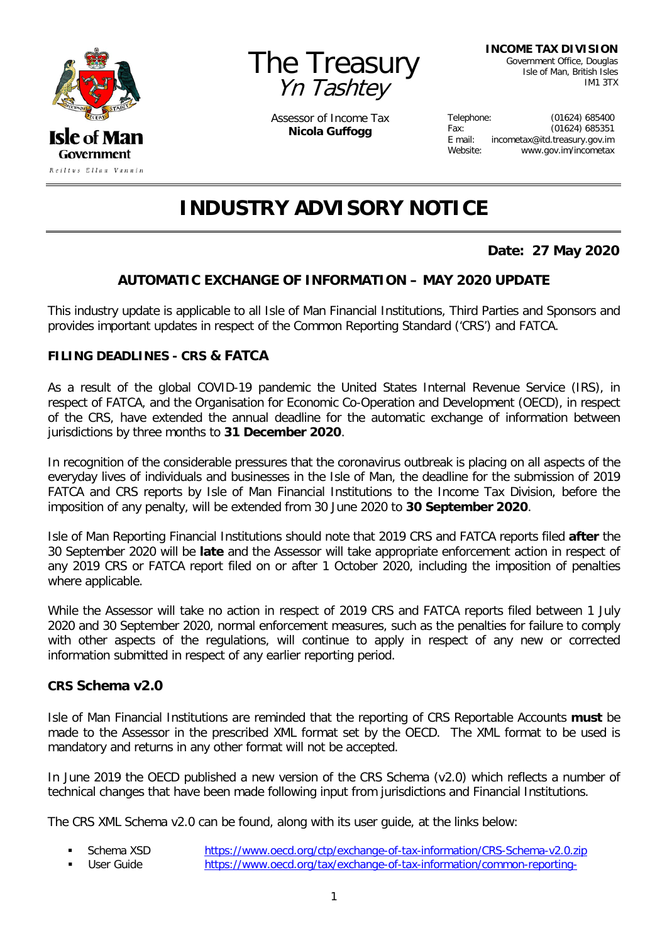



Assessor of Income Tax **Nicola Guffogg**

**INCOME TAX DIVISION**

Government Office, Douglas Isle of Man, British Isles IM1 3TX

| Telephone: | (01624) 685400                |
|------------|-------------------------------|
| Fax:       | (01624) 685351                |
| $E$ mail:  | incometax@itd.treasury.gov.im |
| Website:   | www.gov.im/incometax          |

# **INDUSTRY ADVISORY NOTICE**

## **Date: 27 May 2020**

### **AUTOMATIC EXCHANGE OF INFORMATION – MAY 2020 UPDATE**

This industry update is applicable to all Isle of Man Financial Institutions, Third Parties and Sponsors and provides important updates in respect of the Common Reporting Standard ('CRS') and FATCA.

#### **FILING DEADLINES - CRS & FATCA**

As a result of the global COVID-19 pandemic the United States Internal Revenue Service (IRS), in respect of FATCA, and the Organisation for Economic Co-Operation and Development (OECD), in respect of the CRS, have extended the annual deadline for the automatic exchange of information between jurisdictions by three months to **31 December 2020**.

In recognition of the considerable pressures that the coronavirus outbreak is placing on all aspects of the everyday lives of individuals and businesses in the Isle of Man, the deadline for the submission of 2019 FATCA and CRS reports by Isle of Man Financial Institutions to the Income Tax Division, before the imposition of any penalty, will be extended from 30 June 2020 to **30 September 2020**.

Isle of Man Reporting Financial Institutions should note that 2019 CRS and FATCA reports filed **after** the 30 September 2020 will be **late** and the Assessor will take appropriate enforcement action in respect of any 2019 CRS or FATCA report filed on or after 1 October 2020, including the imposition of penalties where applicable.

While the Assessor will take no action in respect of 2019 CRS and FATCA reports filed between 1 July 2020 and 30 September 2020, normal enforcement measures, such as the penalties for failure to comply with other aspects of the regulations, will continue to apply in respect of any new or corrected information submitted in respect of any earlier reporting period.

#### **CRS Schema v2.0**

Isle of Man Financial Institutions are reminded that the reporting of CRS Reportable Accounts **must** be made to the Assessor in the prescribed XML format set by the OECD. The XML format to be used is mandatory and returns in any other format will not be accepted.

In June 2019 the OECD published a new version of the CRS Schema (v2.0) which reflects a number of technical changes that have been made following input from jurisdictions and Financial Institutions.

The CRS XML Schema v2.0 can be found, along with its user guide, at the links below:

Schema XSD <https://www.oecd.org/ctp/exchange-of-tax-information/CRS-Schema-v2.0.zip> User Guide [https://www.oecd.org/tax/exchange-of-tax-information/common-reporting-](https://www.oecd.org/tax/exchange-of-tax-information/common-reporting-standard-xml-schema-user-guide-for-tax-administrations-june-2019.pdf)